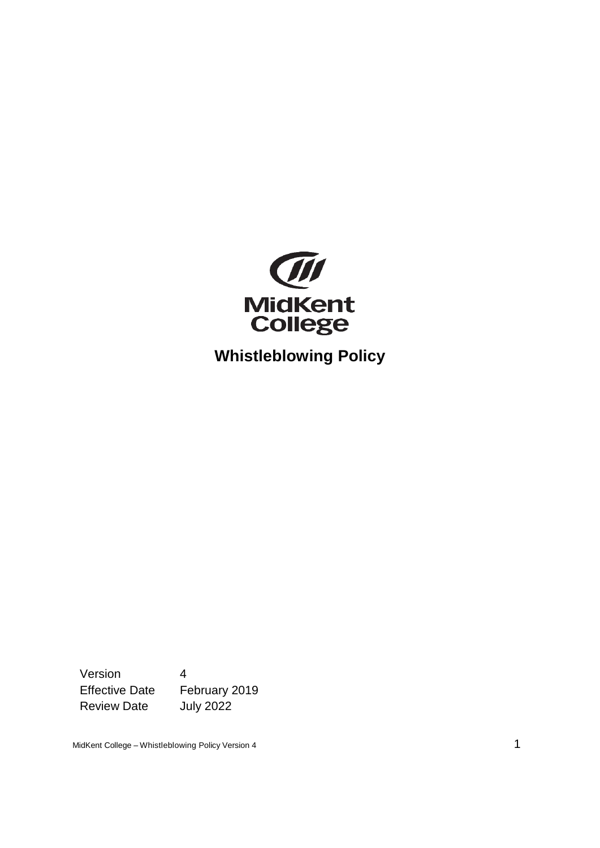

**Whistleblowing Policy**

Version 4 Effective Date February 2019 Review Date July 2022

MidKent College – Whistleblowing Policy Version 4 1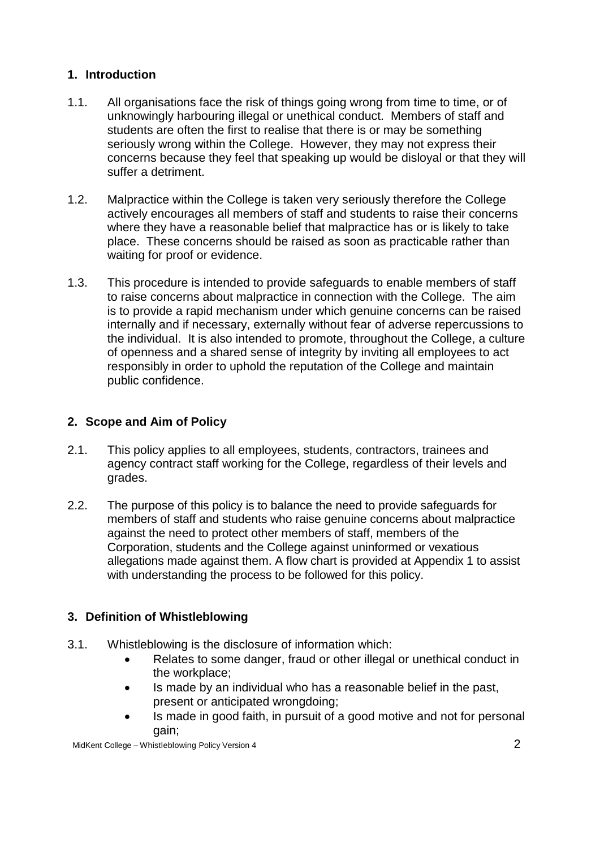## **1. Introduction**

- 1.1. All organisations face the risk of things going wrong from time to time, or of unknowingly harbouring illegal or unethical conduct. Members of staff and students are often the first to realise that there is or may be something seriously wrong within the College. However, they may not express their concerns because they feel that speaking up would be disloyal or that they will suffer a detriment.
- 1.2. Malpractice within the College is taken very seriously therefore the College actively encourages all members of staff and students to raise their concerns where they have a reasonable belief that malpractice has or is likely to take place. These concerns should be raised as soon as practicable rather than waiting for proof or evidence.
- 1.3. This procedure is intended to provide safeguards to enable members of staff to raise concerns about malpractice in connection with the College. The aim is to provide a rapid mechanism under which genuine concerns can be raised internally and if necessary, externally without fear of adverse repercussions to the individual. It is also intended to promote, throughout the College, a culture of openness and a shared sense of integrity by inviting all employees to act responsibly in order to uphold the reputation of the College and maintain public confidence.

# **2. Scope and Aim of Policy**

- 2.1. This policy applies to all employees, students, contractors, trainees and agency contract staff working for the College, regardless of their levels and grades.
- 2.2. The purpose of this policy is to balance the need to provide safeguards for members of staff and students who raise genuine concerns about malpractice against the need to protect other members of staff, members of the Corporation, students and the College against uninformed or vexatious allegations made against them. A flow chart is provided at Appendix 1 to assist with understanding the process to be followed for this policy.

# **3. Definition of Whistleblowing**

- 3.1. Whistleblowing is the disclosure of information which:
	- Relates to some danger, fraud or other illegal or unethical conduct in the workplace;
	- Is made by an individual who has a reasonable belief in the past, present or anticipated wrongdoing;
	- Is made in good faith, in pursuit of a good motive and not for personal gain;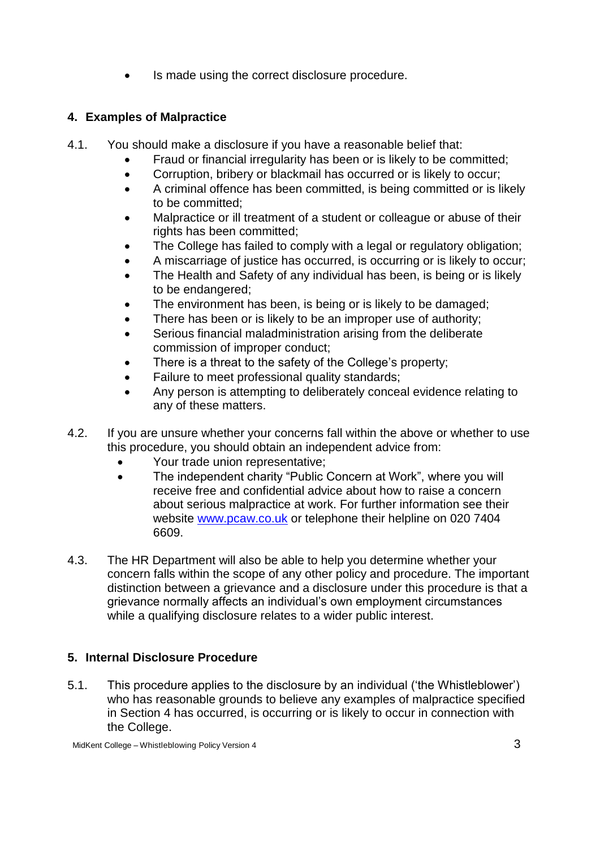Is made using the correct disclosure procedure.

## **4. Examples of Malpractice**

- 4.1. You should make a disclosure if you have a reasonable belief that:
	- Fraud or financial irregularity has been or is likely to be committed;
	- Corruption, bribery or blackmail has occurred or is likely to occur;
	- A criminal offence has been committed, is being committed or is likely to be committed;
	- Malpractice or ill treatment of a student or colleague or abuse of their rights has been committed;
	- The College has failed to comply with a legal or regulatory obligation;
	- A miscarriage of justice has occurred, is occurring or is likely to occur;
	- The Health and Safety of any individual has been, is being or is likely to be endangered;
	- The environment has been, is being or is likely to be damaged;
	- There has been or is likely to be an improper use of authority;
	- Serious financial maladministration arising from the deliberate commission of improper conduct;
	- There is a threat to the safety of the College's property;
	- Failure to meet professional quality standards;
	- Any person is attempting to deliberately conceal evidence relating to any of these matters.
- 4.2. If you are unsure whether your concerns fall within the above or whether to use this procedure, you should obtain an independent advice from:
	- Your trade union representative;
	- The independent charity "Public Concern at Work", where you will receive free and confidential advice about how to raise a concern about serious malpractice at work. For further information see their website [www.pcaw.co.uk](http://www.pcaw.co.uk/) or telephone their helpline on 020 7404 6609.
- 4.3. The HR Department will also be able to help you determine whether your concern falls within the scope of any other policy and procedure. The important distinction between a grievance and a disclosure under this procedure is that a grievance normally affects an individual's own employment circumstances while a qualifying disclosure relates to a wider public interest.

# **5. Internal Disclosure Procedure**

5.1. This procedure applies to the disclosure by an individual ('the Whistleblower') who has reasonable grounds to believe any examples of malpractice specified in Section 4 has occurred, is occurring or is likely to occur in connection with the College.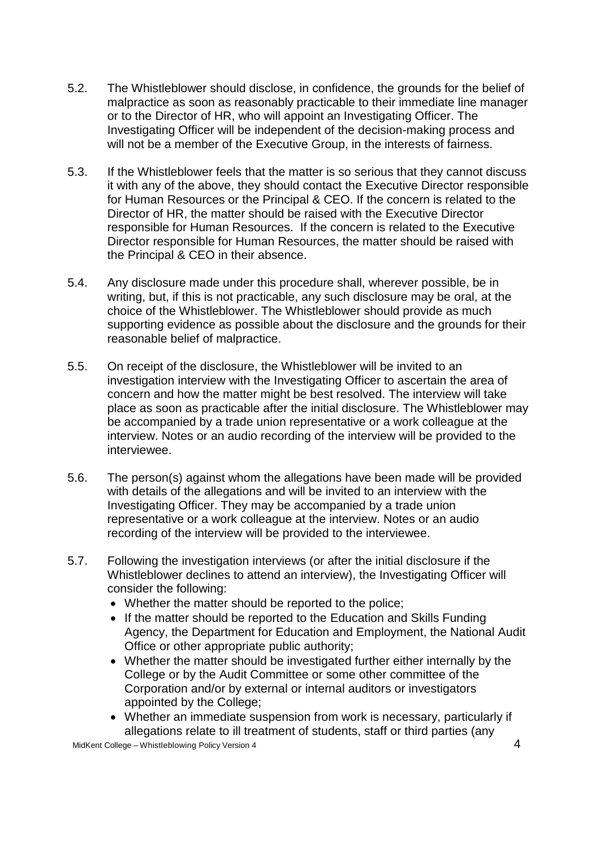- 5.2. The Whistleblower should disclose, in confidence, the grounds for the belief of malpractice as soon as reasonably practicable to their immediate line manager or to the Director of HR, who will appoint an Investigating Officer. The Investigating Officer will be independent of the decision-making process and will not be a member of the Executive Group, in the interests of fairness.
- 5.3. If the Whistleblower feels that the matter is so serious that they cannot discuss it with any of the above, they should contact the Executive Director responsible for Human Resources or the Principal & CEO. If the concern is related to the Director of HR, the matter should be raised with the Executive Director responsible for Human Resources. If the concern is related to the Executive Director responsible for Human Resources, the matter should be raised with the Principal & CEO in their absence.
- 5.4. Any disclosure made under this procedure shall, wherever possible, be in writing, but, if this is not practicable, any such disclosure may be oral, at the choice of the Whistleblower. The Whistleblower should provide as much supporting evidence as possible about the disclosure and the grounds for their reasonable belief of malpractice.
- 5.5. On receipt of the disclosure, the Whistleblower will be invited to an investigation interview with the Investigating Officer to ascertain the area of concern and how the matter might be best resolved. The interview will take place as soon as practicable after the initial disclosure. The Whistleblower may be accompanied by a trade union representative or a work colleague at the interview. Notes or an audio recording of the interview will be provided to the interviewee.
- 5.6. The person(s) against whom the allegations have been made will be provided with details of the allegations and will be invited to an interview with the Investigating Officer. They may be accompanied by a trade union representative or a work colleague at the interview. Notes or an audio recording of the interview will be provided to the interviewee.
- 5.7. Following the investigation interviews (or after the initial disclosure if the Whistleblower declines to attend an interview), the Investigating Officer will consider the following:
	- Whether the matter should be reported to the police;
	- If the matter should be reported to the Education and Skills Funding Agency, the Department for Education and Employment, the National Audit Office or other appropriate public authority;
	- Whether the matter should be investigated further either internally by the College or by the Audit Committee or some other committee of the Corporation and/or by external or internal auditors or investigators appointed by the College;
	- Whether an immediate suspension from work is necessary, particularly if allegations relate to ill treatment of students, staff or third parties (any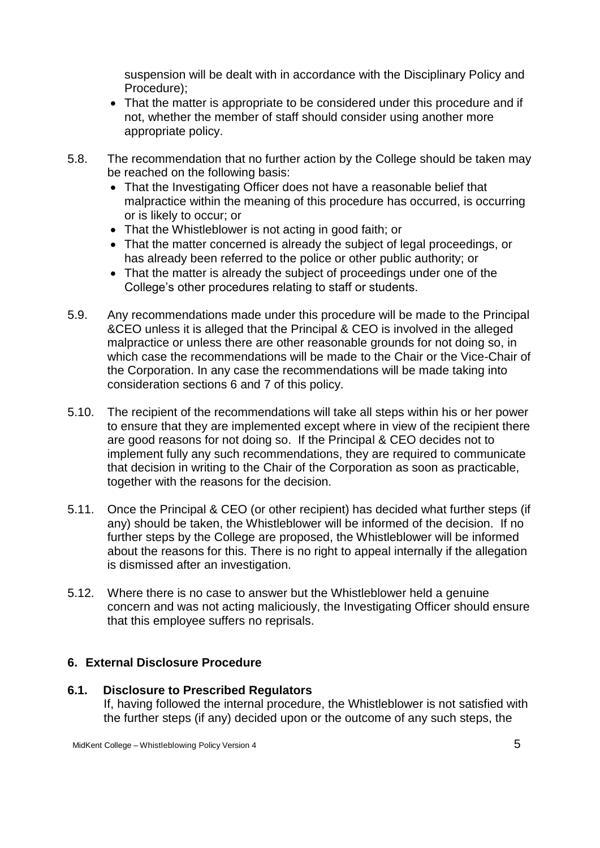suspension will be dealt with in accordance with the Disciplinary Policy and Procedure);

- That the matter is appropriate to be considered under this procedure and if not, whether the member of staff should consider using another more appropriate policy.
- 5.8. The recommendation that no further action by the College should be taken may be reached on the following basis:
	- That the Investigating Officer does not have a reasonable belief that malpractice within the meaning of this procedure has occurred, is occurring or is likely to occur; or
	- That the Whistleblower is not acting in good faith; or
	- That the matter concerned is already the subject of legal proceedings, or has already been referred to the police or other public authority; or
	- That the matter is already the subject of proceedings under one of the College's other procedures relating to staff or students.
- 5.9. Any recommendations made under this procedure will be made to the Principal &CEO unless it is alleged that the Principal & CEO is involved in the alleged malpractice or unless there are other reasonable grounds for not doing so, in which case the recommendations will be made to the Chair or the Vice-Chair of the Corporation. In any case the recommendations will be made taking into consideration sections 6 and 7 of this policy.
- 5.10. The recipient of the recommendations will take all steps within his or her power to ensure that they are implemented except where in view of the recipient there are good reasons for not doing so. If the Principal & CEO decides not to implement fully any such recommendations, they are required to communicate that decision in writing to the Chair of the Corporation as soon as practicable, together with the reasons for the decision.
- 5.11. Once the Principal & CEO (or other recipient) has decided what further steps (if any) should be taken, the Whistleblower will be informed of the decision. If no further steps by the College are proposed, the Whistleblower will be informed about the reasons for this. There is no right to appeal internally if the allegation is dismissed after an investigation.
- 5.12. Where there is no case to answer but the Whistleblower held a genuine concern and was not acting maliciously, the Investigating Officer should ensure that this employee suffers no reprisals.

## **6. External Disclosure Procedure**

**6.1. Disclosure to Prescribed Regulators**  If, having followed the internal procedure, the Whistleblower is not satisfied with the further steps (if any) decided upon or the outcome of any such steps, the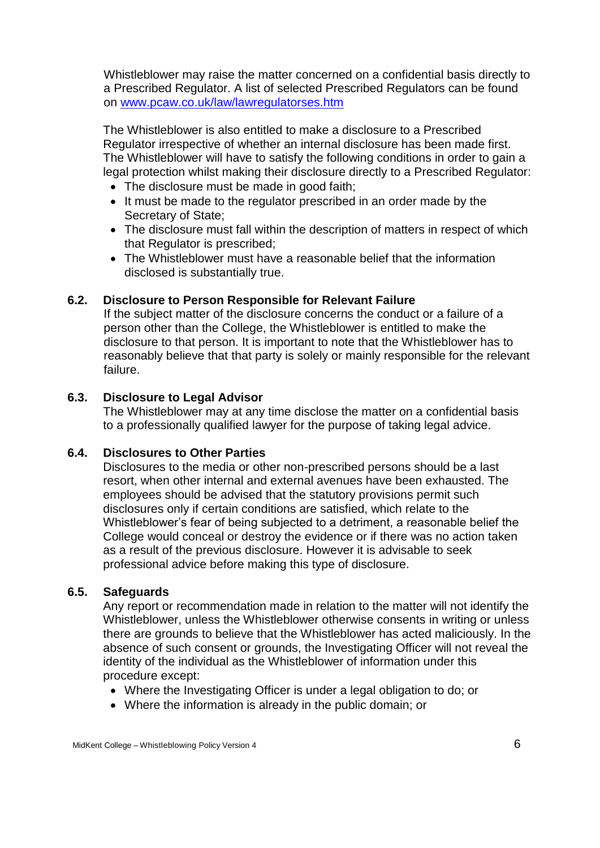Whistleblower may raise the matter concerned on a confidential basis directly to a Prescribed Regulator. A list of selected Prescribed Regulators can be found on [www.pcaw.co.uk/law/lawregulatorses.htm](http://www.pcaw.co.uk/law/lawregulatorses.htm)

The Whistleblower is also entitled to make a disclosure to a Prescribed Regulator irrespective of whether an internal disclosure has been made first. The Whistleblower will have to satisfy the following conditions in order to gain a legal protection whilst making their disclosure directly to a Prescribed Regulator:

- The disclosure must be made in good faith;
- It must be made to the regulator prescribed in an order made by the Secretary of State;
- The disclosure must fall within the description of matters in respect of which that Regulator is prescribed;
- The Whistleblower must have a reasonable belief that the information disclosed is substantially true.

### **6.2. Disclosure to Person Responsible for Relevant Failure**

If the subject matter of the disclosure concerns the conduct or a failure of a person other than the College, the Whistleblower is entitled to make the disclosure to that person. It is important to note that the Whistleblower has to reasonably believe that that party is solely or mainly responsible for the relevant failure.

### **6.3. Disclosure to Legal Advisor**

The Whistleblower may at any time disclose the matter on a confidential basis to a professionally qualified lawyer for the purpose of taking legal advice.

#### **6.4. Disclosures to Other Parties**

Disclosures to the media or other non-prescribed persons should be a last resort, when other internal and external avenues have been exhausted. The employees should be advised that the statutory provisions permit such disclosures only if certain conditions are satisfied, which relate to the Whistleblower's fear of being subjected to a detriment, a reasonable belief the College would conceal or destroy the evidence or if there was no action taken as a result of the previous disclosure. However it is advisable to seek professional advice before making this type of disclosure.

#### **6.5. Safeguards**

Any report or recommendation made in relation to the matter will not identify the Whistleblower, unless the Whistleblower otherwise consents in writing or unless there are grounds to believe that the Whistleblower has acted maliciously. In the absence of such consent or grounds, the Investigating Officer will not reveal the identity of the individual as the Whistleblower of information under this procedure except:

- Where the Investigating Officer is under a legal obligation to do; or
- Where the information is already in the public domain; or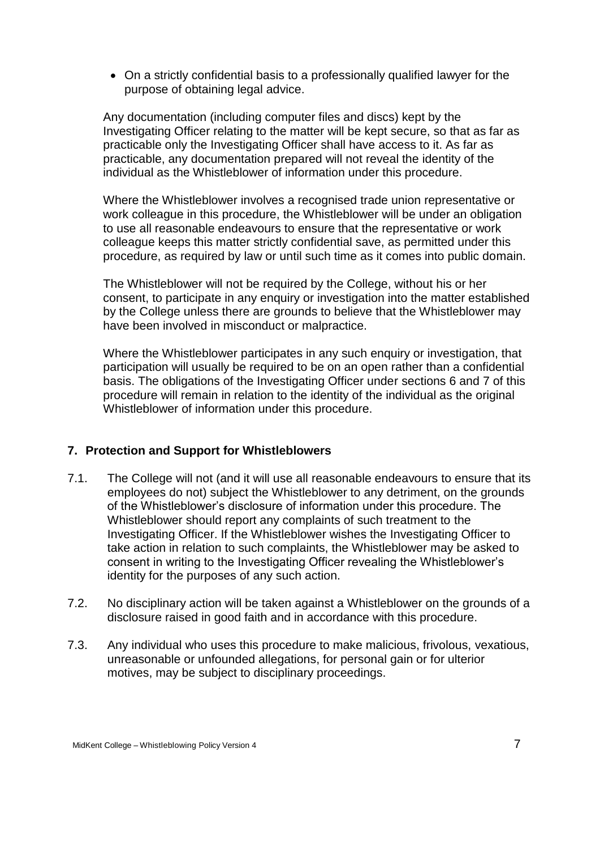On a strictly confidential basis to a professionally qualified lawyer for the purpose of obtaining legal advice.

Any documentation (including computer files and discs) kept by the Investigating Officer relating to the matter will be kept secure, so that as far as practicable only the Investigating Officer shall have access to it. As far as practicable, any documentation prepared will not reveal the identity of the individual as the Whistleblower of information under this procedure.

Where the Whistleblower involves a recognised trade union representative or work colleague in this procedure, the Whistleblower will be under an obligation to use all reasonable endeavours to ensure that the representative or work colleague keeps this matter strictly confidential save, as permitted under this procedure, as required by law or until such time as it comes into public domain.

The Whistleblower will not be required by the College, without his or her consent, to participate in any enquiry or investigation into the matter established by the College unless there are grounds to believe that the Whistleblower may have been involved in misconduct or malpractice.

Where the Whistleblower participates in any such enquiry or investigation, that participation will usually be required to be on an open rather than a confidential basis. The obligations of the Investigating Officer under sections 6 and 7 of this procedure will remain in relation to the identity of the individual as the original Whistleblower of information under this procedure.

## **7. Protection and Support for Whistleblowers**

- 7.1. The College will not (and it will use all reasonable endeavours to ensure that its employees do not) subject the Whistleblower to any detriment, on the grounds of the Whistleblower's disclosure of information under this procedure. The Whistleblower should report any complaints of such treatment to the Investigating Officer. If the Whistleblower wishes the Investigating Officer to take action in relation to such complaints, the Whistleblower may be asked to consent in writing to the Investigating Officer revealing the Whistleblower's identity for the purposes of any such action.
- 7.2. No disciplinary action will be taken against a Whistleblower on the grounds of a disclosure raised in good faith and in accordance with this procedure.
- 7.3. Any individual who uses this procedure to make malicious, frivolous, vexatious, unreasonable or unfounded allegations, for personal gain or for ulterior motives, may be subject to disciplinary proceedings.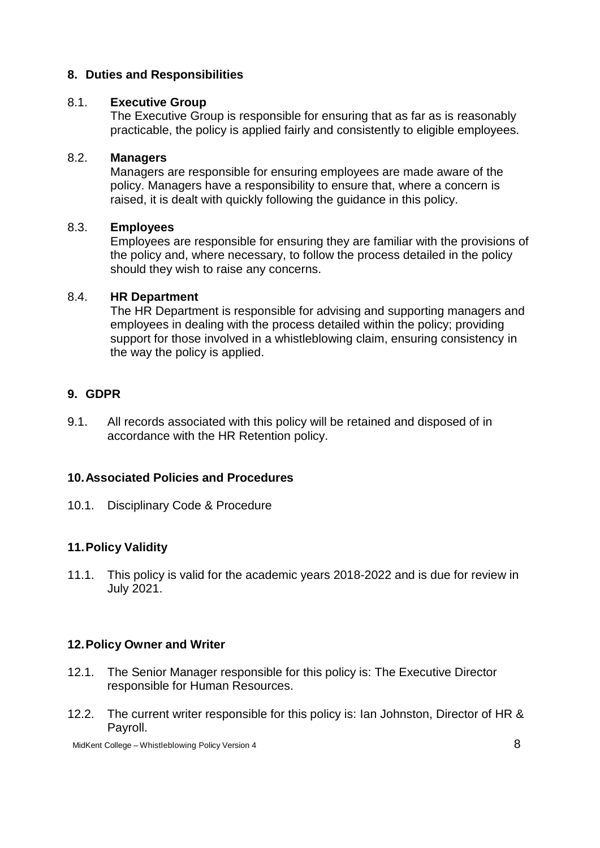### **8. Duties and Responsibilities**

#### 8.1. **Executive Group**

The Executive Group is responsible for ensuring that as far as is reasonably practicable, the policy is applied fairly and consistently to eligible employees.

#### 8.2. **Managers**

Managers are responsible for ensuring employees are made aware of the policy. Managers have a responsibility to ensure that, where a concern is raised, it is dealt with quickly following the guidance in this policy.

#### 8.3. **Employees**

Employees are responsible for ensuring they are familiar with the provisions of the policy and, where necessary, to follow the process detailed in the policy should they wish to raise any concerns.

#### 8.4. **HR Department**

The HR Department is responsible for advising and supporting managers and employees in dealing with the process detailed within the policy; providing support for those involved in a whistleblowing claim, ensuring consistency in the way the policy is applied.

#### **9. GDPR**

9.1. All records associated with this policy will be retained and disposed of in accordance with the HR Retention policy.

#### **10.Associated Policies and Procedures**

10.1. Disciplinary Code & Procedure

## **11.Policy Validity**

11.1. This policy is valid for the academic years 2018-2022 and is due for review in July 2021.

#### **12.Policy Owner and Writer**

- 12.1. The Senior Manager responsible for this policy is: The Executive Director responsible for Human Resources.
- 12.2. The current writer responsible for this policy is: Ian Johnston, Director of HR & Payroll.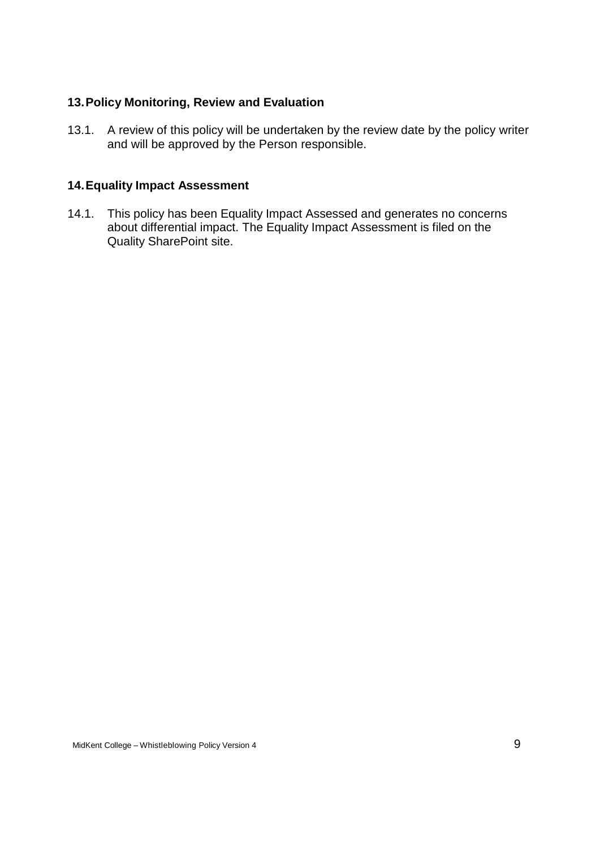### **13.Policy Monitoring, Review and Evaluation**

13.1. A review of this policy will be undertaken by the review date by the policy writer and will be approved by the Person responsible.

## **14.Equality Impact Assessment**

14.1. This policy has been Equality Impact Assessed and generates no concerns about differential impact. The Equality Impact Assessment is filed on the Quality SharePoint site.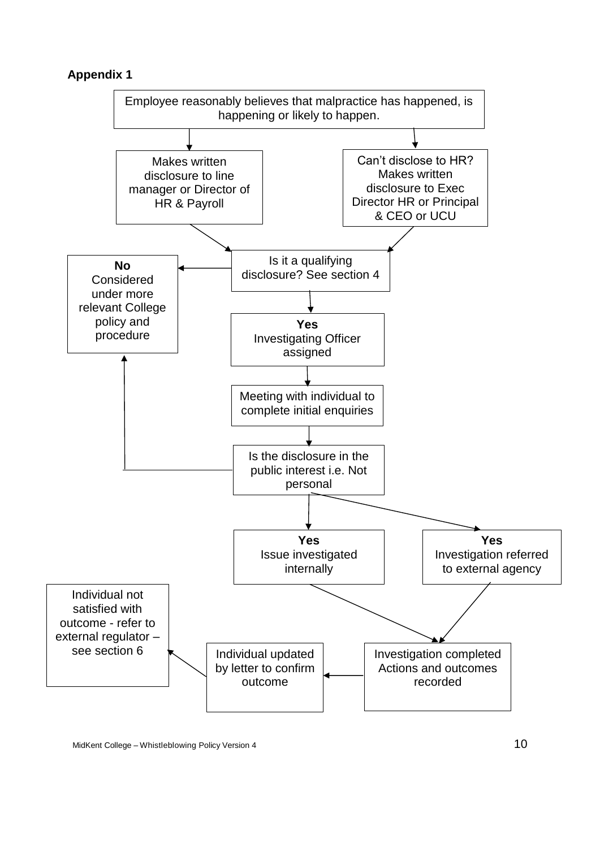## **Appendix 1**